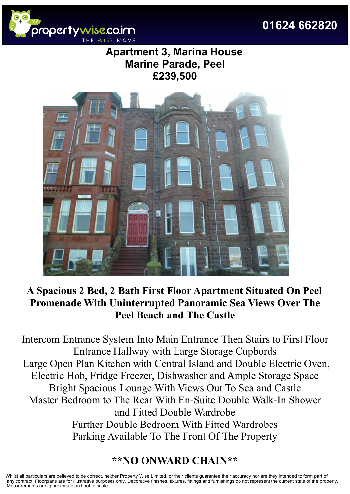



## **Apartment 3, Marina House Marine Parade, Peel £239,500**



## **A Spacious 2 Bed, 2 Bath First Floor Apartment Situated On Peel Promenade With Uninterrupted Panoramic Sea Views Over The Peel Beach and The Castle**

Intercom Entrance System Into Main Entrance Then Stairs to First Floor Entrance Hallway with Large Storage Cupbords Large Open Plan Kitchen with Central Island and Double Electric Oven, Electric Hob, Fridge Freezer, Dishwasher and Ample Storage Space Bright Spacious Lounge With Views Out To Sea and Castle Master Bedroom to The Rear With En-Suite Double Walk-In Shower and Fitted Double Wardrobe Further Double Bedroom With Fitted Wardrobes Parking Available To The Front Of The Property

## **\*\*NO ONWARD CHAIN\*\***

Whilst all particulars are believed to be correct, neither Property Wise Limited, or their clients guarantee their accuracy nor are they intended to form part of any contract. Floorplans are for illustrative purposes only. Decorative finishes, fixtures, fittings and furnishings do not represent the current state of the property. Measurements are approximate and not to scale.